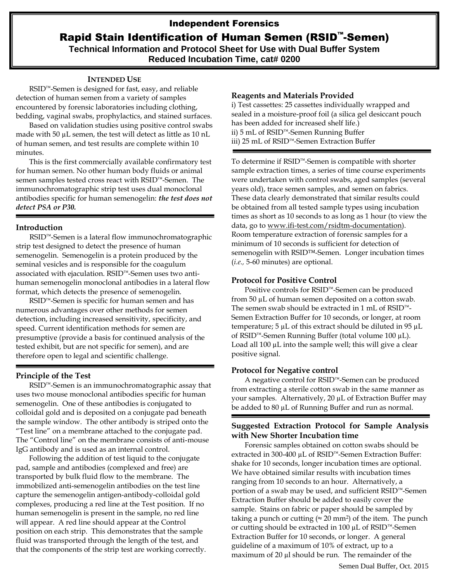# Independent Forensics

# Rapid Stain Identification of Human Semen (RSID™-Semen)

**Technical Information and Protocol Sheet for Use with Dual Buffer System Reduced Incubation Time, cat# 0200**

### **INTENDED USE**

RSID™-Semen is designed for fast, easy, and reliable detection of human semen from a variety of samples encountered by forensic laboratories including clothing, bedding, vaginal swabs, prophylactics, and stained surfaces.

Based on validation studies using positive control swabs made with 50  $\mu$ L semen, the test will detect as little as 10 nL of human semen, and test results are complete within 10 minutes.

This is the first commercially available confirmatory test for human semen. No other human body fluids or animal semen samples tested cross react with RSID™-Semen. The immunochromatographic strip test uses dual monoclonal antibodies specific for human semenogelin: *the test does not detect PSA or P30.* 

### **Introduction**

RSID<sup>™</sup>-Semen is a lateral flow immunochromatographic strip test designed to detect the presence of human semenogelin. Semenogelin is a protein produced by the seminal vesicles and is responsible for the coagulum associated with ejaculation. RSID™-Semen uses two antihuman semenogelin monoclonal antibodies in a lateral flow format, which detects the presence of semenogelin.

RSID™-Semen is specific for human semen and has numerous advantages over other methods for semen detection, including increased sensitivity, specificity, and speed. Current identification methods for semen are presumptive (provide a basis for continued analysis of the tested exhibit, but are not specific for semen), and are therefore open to legal and scientific challenge.

# **Principle of the Test**

RSID™-Semen is an immunochromatographic assay that uses two mouse monoclonal antibodies specific for human semenogelin. One of these antibodies is conjugated to colloidal gold and is deposited on a conjugate pad beneath the sample window. The other antibody is striped onto the "Test line" on a membrane attached to the conjugate pad. The "Control line" on the membrane consists of anti-mouse IgG antibody and is used as an internal control.

Following the addition of test liquid to the conjugate pad, sample and antibodies (complexed and free) are transported by bulk fluid flow to the membrane. The immobilized anti-semenogelin antibodies on the test line capture the semenogelin antigen-antibody-colloidal gold complexes, producing a red line at the Test position. If no human semenogelin is present in the sample, no red line will appear. A red line should appear at the Control position on each strip. This demonstrates that the sample fluid was transported through the length of the test, and that the components of the strip test are working correctly.

### **Reagents and Materials Provided**

i) Test cassettes: 25 cassettes individually wrapped and sealed in a moisture-proof foil (a silica gel desiccant pouch has been added for increased shelf life.) ii) 5 mL of RSID™-Semen Running Buffer iii) 25 mL of RSID™-Semen Extraction Buffer

To determine if RSID™-Semen is compatible with shorter sample extraction times, a series of time course experiments were undertaken with control swabs, aged samples (several years old), trace semen samples, and semen on fabrics. These data clearly demonstrated that similar results could be obtained from all tested sample types using incubation times as short as 10 seconds to as long as 1 hour (to view the data, go to [www.ifi-test.com/rsidtm-documentation\)](http://www.ifi-test.com/rsidtm-documentation). Room temperature extraction of forensic samples for a minimum of 10 seconds is sufficient for detection of semenogelin with RSID™-Semen. Longer incubation times (*i.e.,* 5-60 minutes) are optional.

### **Protocol for Positive Control**

Positive controls for RSID™-Semen can be produced from 50 µL of human semen deposited on a cotton swab. The semen swab should be extracted in 1 mL of RSID™- Semen Extraction Buffer for 10 seconds, or longer, at room temperature;  $5 \mu L$  of this extract should be diluted in 95  $\mu L$ of RSID™-Semen Running Buffer (total volume 100 µL). Load all  $100 \mu$ L into the sample well; this will give a clear positive signal.

### **Protocol for Negative control**

A negative control for RSID™-Semen can be produced from extracting a sterile cotton swab in the same manner as your samples. Alternatively, 20 µL of Extraction Buffer may be added to 80 µL of Running Buffer and run as normal.

# **Suggested Extraction Protocol for Sample Analysis with New Shorter Incubation time**

Forensic samples obtained on cotton swabs should be extracted in 300-400 µL of RSID™-Semen Extraction Buffer: shake for 10 seconds, longer incubation times are optional. We have obtained similar results with incubation times ranging from 10 seconds to an hour. Alternatively, a portion of a swab may be used, and sufficient RSID™-Semen Extraction Buffer should be added to easily cover the sample. Stains on fabric or paper should be sampled by taking a punch or cutting ( $\approx 20$  mm<sup>2</sup>) of the item. The punch or cutting should be extracted in 100 µL of RSID™-Semen Extraction Buffer for 10 seconds, or longer. A general guideline of a maximum of 10% of extract, up to a maximum of 20 µl should be run. The remainder of the